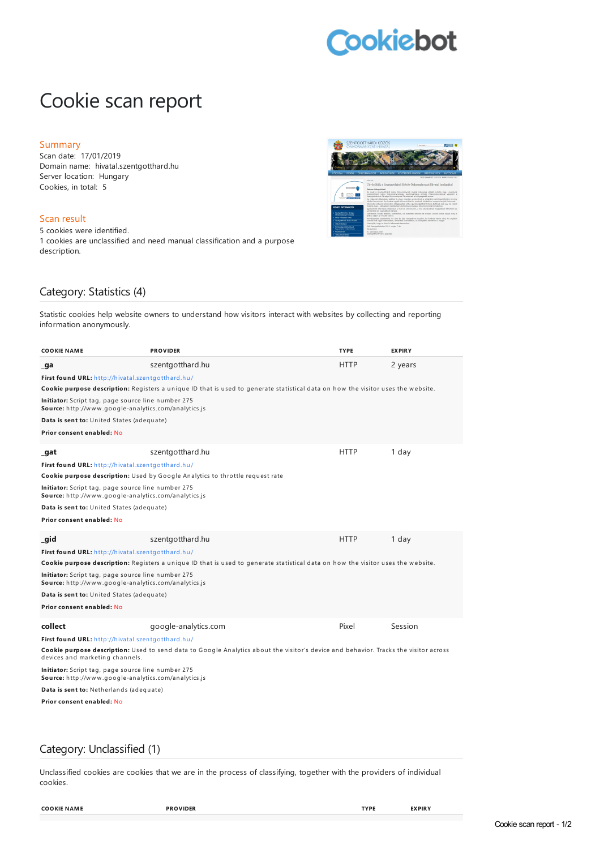# **Cookiebot**

## Cookie scan report

#### Summary

Scan date: 17/01/2019 Domain name: hivatal.szentgotthard.hu Server location: Hungary Cookies, in total: 5

#### Scan result

5 cookies were identified. 1 cookies are unclassified and need manual classification and a purpose description.



### Category: Statistics (4)

Statistic cookies help website owners to understand how visitors interact with websites by collecting and reporting information anonymously.

| <b>COOKIE NAME</b>                                                                                                                                                                                                           | <b>PROVIDER</b>      | <b>TYPE</b> | <b>EXPIRY</b> |
|------------------------------------------------------------------------------------------------------------------------------------------------------------------------------------------------------------------------------|----------------------|-------------|---------------|
| _ga                                                                                                                                                                                                                          | szentgotthard.hu     | <b>HTTP</b> | 2 years       |
| First found URL: http://hivatal.szentgotthard.hu/                                                                                                                                                                            |                      |             |               |
| Cookie purpose description: Registers a unique ID that is used to generate statistical data on how the visitor uses the website.                                                                                             |                      |             |               |
| <b>Initiator:</b> Script tag, page source line number 275<br>Source: http://www.google-analytics.com/analytics.js                                                                                                            |                      |             |               |
| Data is sent to: United States (adequate)                                                                                                                                                                                    |                      |             |               |
| Prior consent enabled: No                                                                                                                                                                                                    |                      |             |               |
|                                                                                                                                                                                                                              |                      |             |               |
| _gat                                                                                                                                                                                                                         | szentgotthard.hu     | <b>HTTP</b> | 1 day         |
| First found URL: http://hivatal.szentgotthard.hu/<br>Cookie purpose description: Used by Google Analytics to throttle request rate                                                                                           |                      |             |               |
| <b>Initiator:</b> Script tag, page source line number 275<br><b>Source:</b> http://www.google-analytics.com/analytics.js                                                                                                     |                      |             |               |
| Data is sent to: United States (adequate)                                                                                                                                                                                    |                      |             |               |
| Prior consent enabled: No                                                                                                                                                                                                    |                      |             |               |
| qid                                                                                                                                                                                                                          | szentgotthard.hu     | <b>HTTP</b> | 1 day         |
| First found URL: http://hivatal.szentgotthard.hu/                                                                                                                                                                            |                      |             |               |
| Cookie purpose description: Registers a unique ID that is used to generate statistical data on how the visitor uses the website.                                                                                             |                      |             |               |
| Initiator: Script tag, page source line number 275<br><b>Source:</b> http://www.google-analytics.com/analytics.js                                                                                                            |                      |             |               |
| Data is sent to: United States (adequate)                                                                                                                                                                                    |                      |             |               |
| Prior consent enabled: No                                                                                                                                                                                                    |                      |             |               |
| collect                                                                                                                                                                                                                      | google-analytics.com | Pixel       | Session       |
| First found URL: http://hivatal.szentgotthard.hu/<br>Cookie purpose description: Used to send data to Google Analytics about the visitor's device and behavior. Tracks the visitor across<br>devices and marketing channels. |                      |             |               |
| Initiator: Script tag, page source line number 275<br><b>Source:</b> http://www.google-analytics.com/analytics.js                                                                                                            |                      |             |               |
| Data is sent to: Netherlands (adequate)                                                                                                                                                                                      |                      |             |               |
| Prior consent enabled: No                                                                                                                                                                                                    |                      |             |               |
|                                                                                                                                                                                                                              |                      |             |               |
|                                                                                                                                                                                                                              |                      |             |               |

#### Category: Unclassified (1)

Unclassified cookies are cookies that we are in the process of classifying, together with the providers of individual cookies.